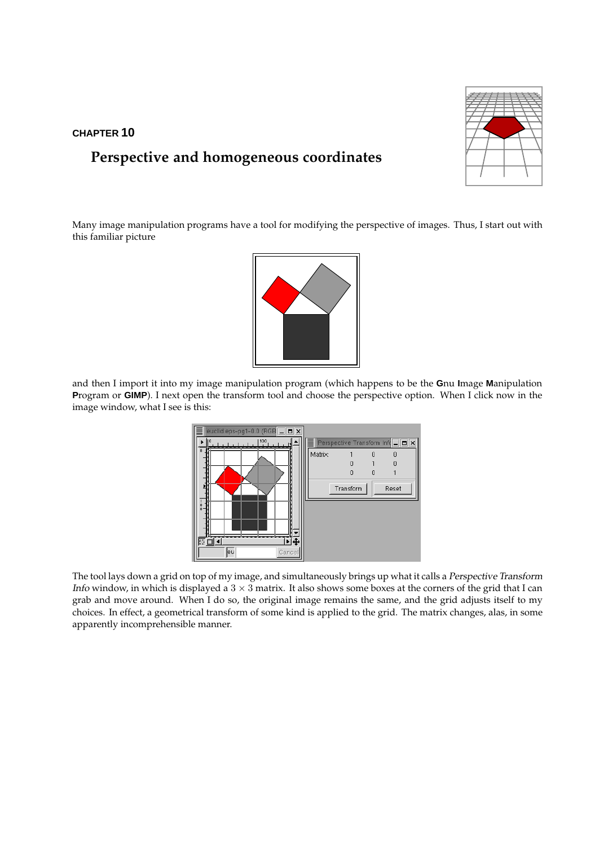# **CHAPTER 10**

# **Perspective and homogeneous coordinates**



Many image manipulation programs have a tool for modifying the perspective of images. Thus, I start out with this familiar picture



and then I import it into my image manipulation program (which happens to be the **G**nu **I**mage **M**anipulation **P**rogram or **GIMP**). I next open the transform tool and choose the perspective option. When I click now in the image window, what I see is this:



The tool lays down a grid on top of my image, and simultaneously brings up what it calls a Perspective Transform Info window, in which is displayed a  $3 \times 3$  matrix. It also shows some boxes at the corners of the grid that I can grab and move around. When I do so, the original image remains the same, and the grid adjusts itself to my choices. In effect, a geometrical transform of some kind is applied to the grid. The matrix changes, alas, in some apparently incomprehensible manner.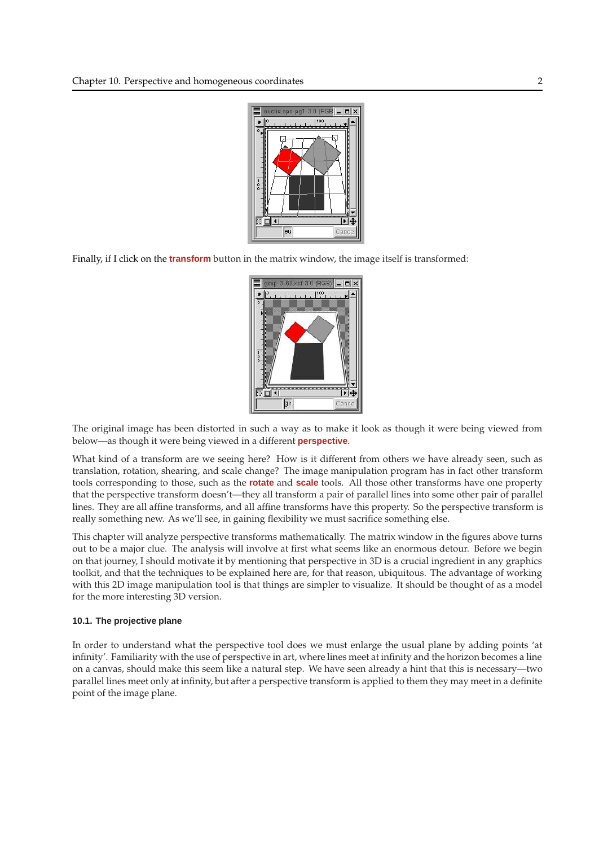

Finally, if I click on the **transform** button in the matrix window, the image itself is transformed:



The original image has been distorted in such a way as to make it look as though it were being viewed from below—as though it were being viewed in a different **perspective**.

What kind of a transform are we seeing here? How is it different from others we have already seen, such as translation, rotation, shearing, and scale change? The image manipulation program has in fact other transform tools corresponding to those, such as the **rotate** and **scale** tools. All those other transforms have one property that the perspective transform doesn't—they all transform a pair of parallel lines into some other pair of parallel lines. They are all affine transforms, and all affine transforms have this property. So the perspective transform is really something new. As we'll see, in gaining flexibility we must sacrifice something else.

This chapter will analyze perspective transforms mathematically. The matrix window in the figures above turns out to be a major clue. The analysis will involve at first what seems like an enormous detour. Before we begin on that journey, I should motivate it by mentioning that perspective in 3D is a crucial ingredient in any graphics toolkit, and that the techniques to be explained here are, for that reason, ubiquitous. The advantage of working with this 2D image manipulation tool is that things are simpler to visualize. It should be thought of as a model for the more interesting 3D version.

# **10.1. The projective plane**

In order to understand what the perspective tool does we must enlarge the usual plane by adding points 'at infinity'. Familiarity with the use of perspective in art, where lines meet at infinity and the horizon becomes a line on a canvas, should make this seem like a natural step. We have seen already a hint that this is necessary—two parallel lines meet only at infinity, but after a perspective transform is applied to them they may meet in a definite point of the image plane.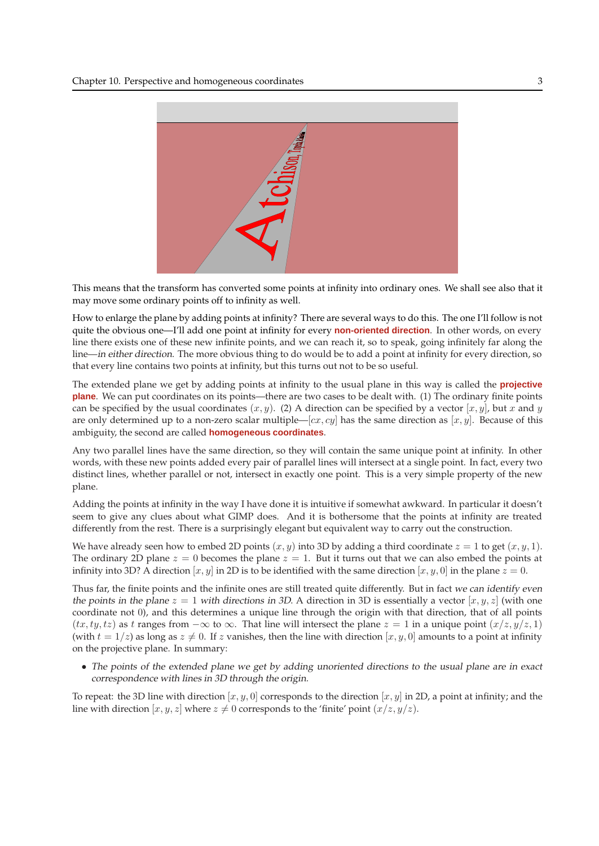

This means that the transform has converted some points at infinity into ordinary ones. We shall see also that it may move some ordinary points off to infinity as well.

How to enlarge the plane by adding points at infinity? There are several ways to do this. The one I'll follow is not quite the obvious one—I'll add one point at infinity for every **non-oriented direction**. In other words, on every line there exists one of these new infinite points, and we can reach it, so to speak, going infinitely far along the line—in either direction. The more obvious thing to do would be to add a point at infinity for every direction, so that every line contains two points at infinity, but this turns out not to be so useful.

The extended plane we get by adding points at infinity to the usual plane in this way is called the **projective plane**. We can put coordinates on its points—there are two cases to be dealt with. (1) The ordinary finite points can be specified by the usual coordinates  $(x, y)$ . (2) A direction can be specified by a vector  $[x, y]$ , but x and y are only determined up to a non-zero scalar multiple—[cx, cy] has the same direction as [x, y]. Because of this ambiguity, the second are called **homogeneous coordinates**.

Any two parallel lines have the same direction, so they will contain the same unique point at infinity. In other words, with these new points added every pair of parallel lines will intersect at a single point. In fact, every two distinct lines, whether parallel or not, intersect in exactly one point. This is a very simple property of the new plane.

Adding the points at infinity in the way I have done it is intuitive if somewhat awkward. In particular it doesn't seem to give any clues about what GIMP does. And it is bothersome that the points at infinity are treated differently from the rest. There is a surprisingly elegant but equivalent way to carry out the construction.

We have already seen how to embed 2D points  $(x, y)$  into 3D by adding a third coordinate  $z = 1$  to get  $(x, y, 1)$ . The ordinary 2D plane  $z = 0$  becomes the plane  $z = 1$ . But it turns out that we can also embed the points at infinity into 3D? A direction  $[x, y]$  in 2D is to be identified with the same direction  $[x, y, 0]$  in the plane  $z = 0$ .

Thus far, the finite points and the infinite ones are still treated quite differently. But in fact we can identify even the points in the plane  $z = 1$  with directions in 3D. A direction in 3D is essentially a vector  $[x, y, z]$  (with one coordinate not 0), and this determines a unique line through the origin with that direction, that of all points  $(tx, ty, tz)$  as t ranges from  $-\infty$  to  $\infty$ . That line will intersect the plane  $z = 1$  in a unique point  $(x/z, y/z, 1)$ (with  $t = 1/z$ ) as long as  $z \neq 0$ . If z vanishes, then the line with direction [x, y, 0] amounts to a point at infinity on the projective plane. In summary:

• The points of the extended plane we get by adding unoriented directions to the usual plane are in exact correspondence with lines in 3D through the origin.

To repeat: the 3D line with direction  $[x, y, 0]$  corresponds to the direction  $[x, y]$  in 2D, a point at infinity; and the line with direction  $[x, y, z]$  where  $z \neq 0$  corresponds to the 'finite' point  $(x/z, y/z)$ .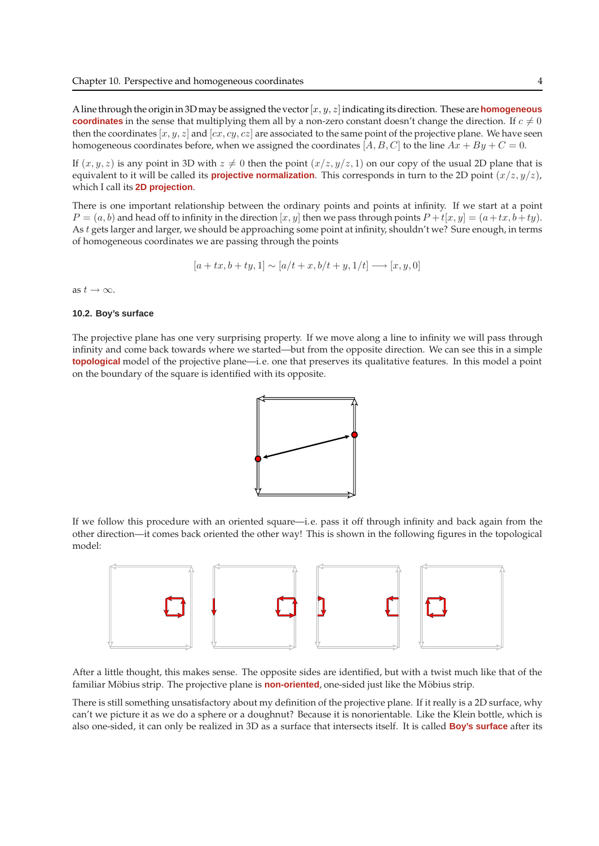A line through the origin in 3D may be assigned the vector  $[x, y, z]$  indicating its direction. These are **homogeneous coordinates** in the sense that multiplying them all by a non-zero constant doesn't change the direction. If  $c \neq 0$ then the coordinates [x, y, z] and [cx, cy, cz] are associated to the same point of the projective plane. We have seen homogeneous coordinates before, when we assigned the coordinates  $[A, B, C]$  to the line  $Ax + By + C = 0$ .

If  $(x, y, z)$  is any point in 3D with  $z \neq 0$  then the point  $(x/z, y/z, 1)$  on our copy of the usual 2D plane that is equivalent to it will be called its **projective normalization**. This corresponds in turn to the 2D point  $(x/z, y/z)$ , which I call its **2D projection**.

There is one important relationship between the ordinary points and points at infinity. If we start at a point  $P = (a, b)$  and head off to infinity in the direction [x, y] then we pass through points  $P + t[x, y] = (a + tx, b + ty)$ . As t gets larger and larger, we should be approaching some point at infinity, shouldn't we? Sure enough, in terms of homogeneous coordinates we are passing through the points

$$
[a+tx, b+ty, 1] \sim [a/t+x, b/t+y, 1/t] \longrightarrow [x, y, 0]
$$

as  $t \to \infty$ .

#### **10.2. Boy's surface**

The projective plane has one very surprising property. If we move along a line to infinity we will pass through infinity and come back towards where we started—but from the opposite direction. We can see this in a simple **topological** model of the projective plane—i.e. one that preserves its qualitative features. In this model a point on the boundary of the square is identified with its opposite.



If we follow this procedure with an oriented square—i.e. pass it off through infinity and back again from the other direction—it comes back oriented the other way! This is shown in the following figures in the topological model:



After a little thought, this makes sense. The opposite sides are identified, but with a twist much like that of the familiar Möbius strip. The projective plane is **non-oriented**, one-sided just like the Möbius strip.

There is still something unsatisfactory about my definition of the projective plane. If it really is a 2D surface, why can't we picture it as we do a sphere or a doughnut? Because it is nonorientable. Like the Klein bottle, which is also one-sided, it can only be realized in 3D as a surface that intersects itself. It is called **Boy's surface** after its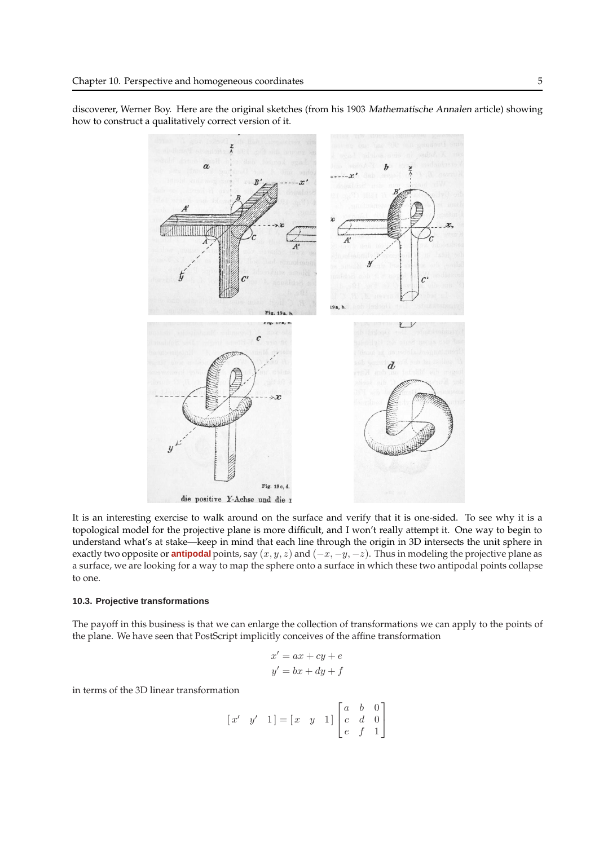

discoverer, Werner Boy. Here are the original sketches (from his 1903 Mathematische Annalen article) showing how to construct a qualitatively correct version of it.

It is an interesting exercise to walk around on the surface and verify that it is one-sided. To see why it is a topological model for the projective plane is more difficult, and I won't really attempt it. One way to begin to understand what's at stake—keep in mind that each line through the origin in 3D intersects the unit sphere in exactly two opposite or **antipodal** points, say  $(x, y, z)$  and  $(-x, -y, -z)$ . Thus in modeling the projective plane as a surface, we are looking for a way to map the sphere onto a surface in which these two antipodal points collapse to one.

### **10.3. Projective transformations**

The payoff in this business is that we can enlarge the collection of transformations we can apply to the points of the plane. We have seen that PostScript implicitly conceives of the affine transformation

$$
x' = ax + cy + e
$$

$$
y' = bx + dy + f
$$

in terms of the 3D linear transformation

$$
\begin{bmatrix} x' & y' & 1 \end{bmatrix} = \begin{bmatrix} x & y & 1 \end{bmatrix} \begin{bmatrix} a & b & 0 \\ c & d & 0 \\ e & f & 1 \end{bmatrix}
$$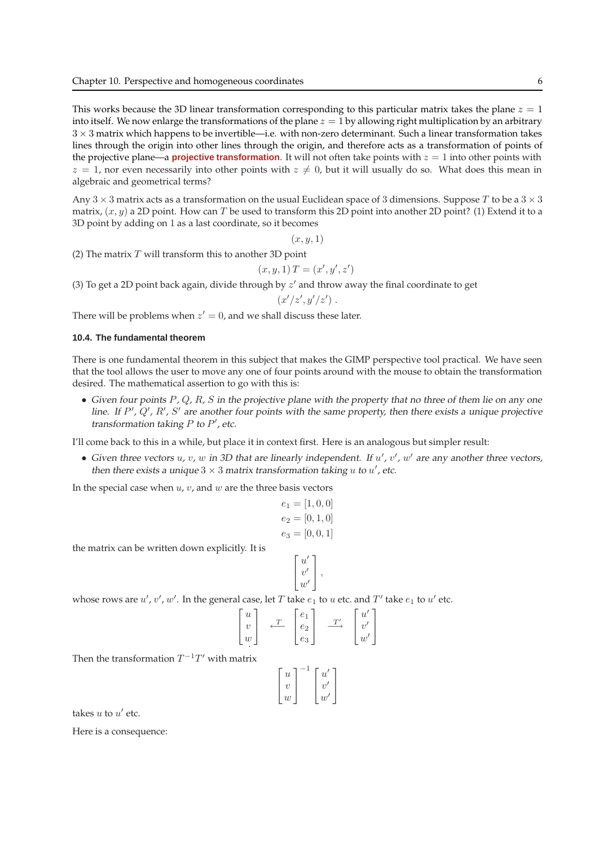This works because the 3D linear transformation corresponding to this particular matrix takes the plane  $z = 1$ into itself. We now enlarge the transformations of the plane  $z = 1$  by allowing right multiplication by an arbitrary 3 × 3 matrix which happens to be invertible—i.e. with non-zero determinant. Such a linear transformation takes lines through the origin into other lines through the origin, and therefore acts as a transformation of points of the projective plane—a **projective transformation**. It will not often take points with  $z = 1$  into other points with  $z = 1$ , nor even necessarily into other points with  $z \neq 0$ , but it will usually do so. What does this mean in algebraic and geometrical terms?

Any  $3 \times 3$  matrix acts as a transformation on the usual Euclidean space of 3 dimensions. Suppose T to be a  $3 \times 3$ matrix,  $(x, y)$  a 2D point. How can T be used to transform this 2D point into another 2D point? (1) Extend it to a 3D point by adding on 1 as a last coordinate, so it becomes

 $(x, y, 1)$ 

(2) The matrix  $T$  will transform this to another 3D point

$$
(x, y, 1)T = (x', y', z')
$$

(3) To get a 2D point back again, divide through by  $z'$  and throw away the final coordinate to get

$$
(x'/z',y'/z')\;.
$$

There will be problems when  $z' = 0$ , and we shall discuss these later.

#### **10.4. The fundamental theorem**

There is one fundamental theorem in this subject that makes the GIMP perspective tool practical. We have seen that the tool allows the user to move any one of four points around with the mouse to obtain the transformation desired. The mathematical assertion to go with this is:

• Given four points  $P$ ,  $Q$ ,  $R$ ,  $S$  in the projective plane with the property that no three of them lie on any one line. If  $P', Q', R', S'$  are another four points with the same property, then there exists a unique projective transformation taking  $P$  to  $P'$ , etc.

I'll come back to this in a while, but place it in context first. Here is an analogous but simpler result:

• Given three vectors  $u$ ,  $v$ ,  $w$  in 3D that are linearly independent. If  $u'$ ,  $v'$ ,  $w'$  are any another three vectors, then there exists a unique  $3 \times 3$  matrix transformation taking  $u$  to  $u'$ , etc.

In the special case when  $u$ ,  $v$ , and  $w$  are the three basis vectors

$$
e_1 = [1, 0, 0]
$$
  

$$
e_2 = [0, 1, 0]
$$
  

$$
e_3 = [0, 0, 1]
$$

the matrix can be written down explicitly. It is

$$
\begin{bmatrix} u' \\ v' \\ w' \end{bmatrix},
$$

whose rows are  $u'$ ,  $v'$ ,  $w'$ . In the general case, let  $T$  take  $e_1$  to  $u$  etc. and  $T'$  take  $e_1$  to  $u'$  etc.

 $\sqrt{ }$  $\overline{1}$ 

$$
\begin{array}{c} u \\ v \\ w \end{array} \quad \begin{array}{c} T \\ \leftarrow \\ \begin{array}{c} e_1 \\ e_2 \\ e_3 \end{array} \end{array} \quad \begin{array}{c} T' \\ \longrightarrow \\ \begin{array}{c} u' \\ v' \\ w' \end{array} \end{array}
$$

Then the transformation  $T^{-1}T'$  with matrix

$$
\begin{bmatrix} u \\ v \\ w \end{bmatrix}^{-1} \begin{bmatrix} u' \\ v' \\ w' \end{bmatrix}
$$

takes  $u$  to  $u'$  etc.

Here is a consequence: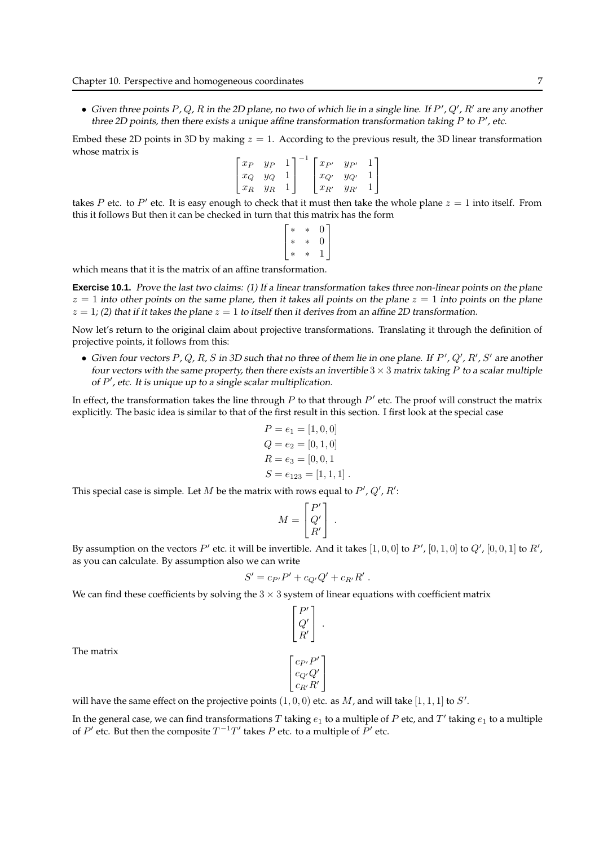• Given three points  $P$ ,  $Q$ ,  $R$  in the 2D plane, no two of which lie in a single line. If  $P'$ ,  $Q'$ ,  $R'$  are any another three 2D points, then there exists a unique affine transformation transformation taking P to P', etc.

Embed these 2D points in 3D by making  $z = 1$ . According to the previous result, the 3D linear transformation whose matrix is

$$
\begin{bmatrix} x_P & y_P & 1 \\ x_Q & y_Q & 1 \\ x_R & y_R & 1 \end{bmatrix}^{-1} \begin{bmatrix} x_{P'} & y_{P'} & 1 \\ x_{Q'} & y_{Q'} & 1 \\ x_{R'} & y_{R'} & 1 \end{bmatrix}
$$

takes P etc. to P' etc. It is easy enough to check that it must then take the whole plane  $z = 1$  into itself. From this it follows But then it can be checked in turn that this matrix has the form

$$
\begin{bmatrix} * & * & 0 \\ * & * & 0 \\ * & * & 1 \end{bmatrix}
$$

which means that it is the matrix of an affine transformation.

**Exercise 10.1.** Prove the last two claims: (1) If a linear transformation takes three non-linear points on the plane  $z = 1$  into other points on the same plane, then it takes all points on the plane  $z = 1$  into points on the plane  $z = 1$ ; (2) that if it takes the plane  $z = 1$  to itself then it derives from an affine 2D transformation.

Now let's return to the original claim about projective transformations. Translating it through the definition of projective points, it follows from this:

• Given four vectors  $P$ ,  $Q$ ,  $R$ ,  $S$  in 3D such that no three of them lie in one plane. If  $P'$ ,  $Q'$ ,  $R'$ ,  $S'$  are another four vectors with the same property, then there exists an invertible  $3 \times 3$  matrix taking P to a scalar multiple of P ′ , etc. It is unique up to <sup>a</sup> single scalar multiplication.

In effect, the transformation takes the line through  $P$  to that through  $P'$  etc. The proof will construct the matrix explicitly. The basic idea is similar to that of the first result in this section. I first look at the special case

$$
P = e_1 = [1, 0, 0]
$$
  
\n
$$
Q = e_2 = [0, 1, 0]
$$
  
\n
$$
R = e_3 = [0, 0, 1]
$$
  
\n
$$
S = e_{123} = [1, 1, 1].
$$

This special case is simple. Let M be the matrix with rows equal to  $P', Q', R'$ :

$$
M = \begin{bmatrix} P' \\ Q' \\ R' \end{bmatrix} \; .
$$

By assumption on the vectors  $P'$  etc. it will be invertible. And it takes  $[1,0,0]$  to  $P'$ ,  $[0,1,0]$  to  $Q'$ ,  $[0,0,1]$  to  $R'$ , as you can calculate. By assumption also we can write

$$
S' = c_{P'}P' + c_{Q'}Q' + c_{R'}R'.
$$

We can find these coefficients by solving the  $3 \times 3$  system of linear equations with coefficient matrix

$$
\begin{bmatrix} P' \\ Q' \\ R' \end{bmatrix}.
$$

$$
\begin{bmatrix} c_{P'}P' \\ c_{Q'}Q' \\ c_{R'}R' \end{bmatrix}
$$

The matrix

will have the same effect on the projective points  $(1, 0, 0)$  etc. as M, and will take  $[1, 1, 1]$  to  $S'$ .

In the general case, we can find transformations  $T$  taking  $e_1$  to a multiple of  $P$  etc, and  $T'$  taking  $e_1$  to a multiple of  $P'$  etc. But then the composite  $T^{-1}T'$  takes  $P$  etc. to a multiple of  $P'$  etc.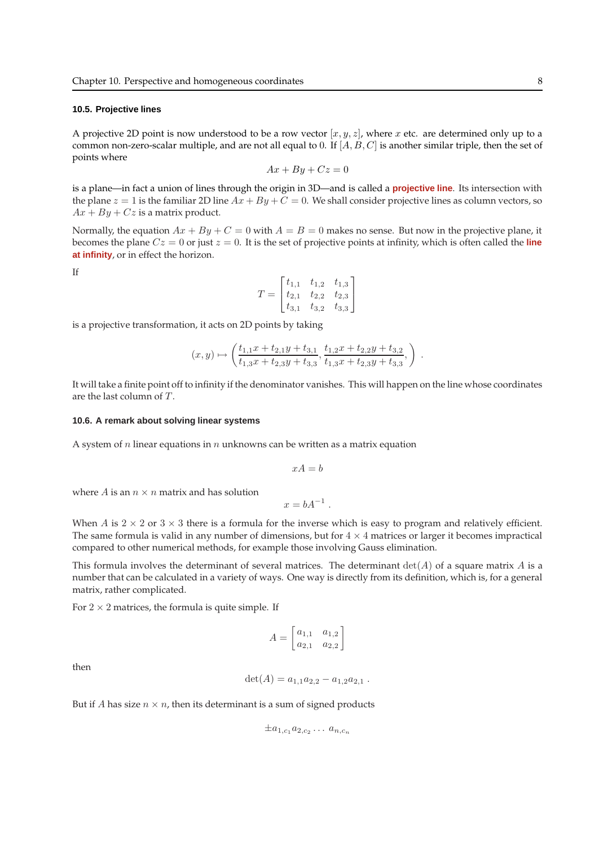#### **10.5. Projective lines**

A projective 2D point is now understood to be a row vector  $[x, y, z]$ , where x etc. are determined only up to a common non-zero-scalar multiple, and are not all equal to 0. If  $[A, B, C]$  is another similar triple, then the set of points where

$$
Ax + By + Cz = 0
$$

is a plane—in fact a union of lines through the origin in 3D—and is called a **projective line**. Its intersection with the plane  $z = 1$  is the familiar 2D line  $Ax + By + C = 0$ . We shall consider projective lines as column vectors, so  $Ax + By + Cz$  is a matrix product.

Normally, the equation  $Ax + By + C = 0$  with  $A = B = 0$  makes no sense. But now in the projective plane, it becomes the plane  $Cz = 0$  or just  $z = 0$ . It is the set of projective points at infinity, which is often called the **line at infinity**, or in effect the horizon.

If

$$
T = \begin{bmatrix} t_{1,1} & t_{1,2} & t_{1,3} \\ t_{2,1} & t_{2,2} & t_{2,3} \\ t_{3,1} & t_{3,2} & t_{3,3} \end{bmatrix}
$$

is a projective transformation, it acts on 2D points by taking

$$
(x,y)\mapsto \left(\frac{t_{1,1}x+t_{2,1}y+t_{3,1}}{t_{1,3}x+t_{2,3}y+t_{3,3}},\frac{t_{1,2}x+t_{2,2}y+t_{3,2}}{t_{1,3}x+t_{2,3}y+t_{3,3}},\right).
$$

It will take a finite point off to infinity if the denominator vanishes. This will happen on the line whose coordinates are the last column of T.

#### **10.6. A remark about solving linear systems**

A system of  $n$  linear equations in  $n$  unknowns can be written as a matrix equation

$$
xA = b
$$

where A is an  $n \times n$  matrix and has solution

$$
x=bA^{-1}\;.
$$

When A is  $2 \times 2$  or  $3 \times 3$  there is a formula for the inverse which is easy to program and relatively efficient. The same formula is valid in any number of dimensions, but for  $4 \times 4$  matrices or larger it becomes impractical compared to other numerical methods, for example those involving Gauss elimination.

This formula involves the determinant of several matrices. The determinant  $\det(A)$  of a square matrix A is a number that can be calculated in a variety of ways. One way is directly from its definition, which is, for a general matrix, rather complicated.

For  $2 \times 2$  matrices, the formula is quite simple. If

$$
A = \begin{bmatrix} a_{1,1} & a_{1,2} \\ a_{2,1} & a_{2,2} \end{bmatrix}
$$

then

$$
\det(A) = a_{1,1}a_{2,2} - a_{1,2}a_{2,1} .
$$

But if A has size  $n \times n$ , then its determinant is a sum of signed products

$$
\pm a_{1,c_1}a_{2,c_2}\ldots a_{n,c_n}
$$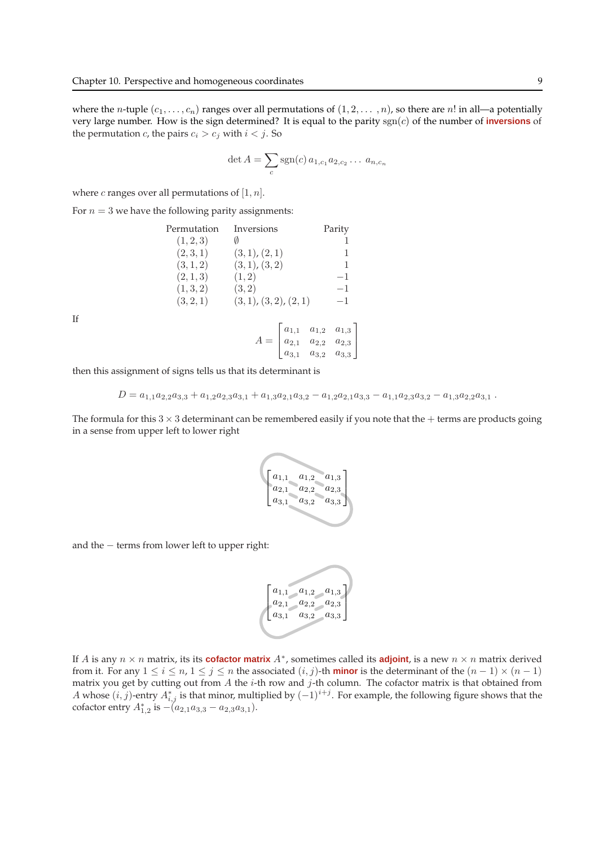where the *n*-tuple  $(c_1, \ldots, c_n)$  ranges over all permutations of  $(1, 2, \ldots, n)$ , so there are *n*! in all—a potentially very large number. How is the sign determined? It is equal to the parity sgn(c) of the number of **inversions** of the permutation *c*, the pairs  $c_i > c_j$  with  $i < j$ . So

$$
\det A = \sum_{c} \text{sgn}(c) \, a_{1,c_1} a_{2,c_2} \dots \, a_{n,c_n}
$$

where *c* ranges over all permutations of  $[1, n]$ .

For  $n = 3$  we have the following parity assignments:

| Permutation | Inversions                                                                                                                    | Parity |
|-------------|-------------------------------------------------------------------------------------------------------------------------------|--------|
| (1, 2, 3)   |                                                                                                                               |        |
| (2,3,1)     | (3,1), (2,1)                                                                                                                  | 1      |
| (3, 1, 2)   | (3,1), (3,2)                                                                                                                  |        |
| (2,1,3)     | (1, 2)                                                                                                                        | $-1$   |
| (1,3,2)     | (3, 2)                                                                                                                        | $-1$   |
| (3, 2, 1)   | (3,1), (3,2), (2,1)                                                                                                           | $-1$   |
|             |                                                                                                                               |        |
|             |                                                                                                                               |        |
|             | $A = \begin{bmatrix} a_{1,1} & a_{1,2} & a_{1,3} \\ a_{2,1} & a_{2,2} & a_{2,3} \\ a_{3,1} & a_{3,2} & a_{3,3} \end{bmatrix}$ |        |
|             |                                                                                                                               |        |

If

then this assignment of signs tells us that its determinant is

 $D = a_{1,1}a_{2,2}a_{3,3} + a_{1,2}a_{2,3}a_{3,1} + a_{1,3}a_{2,1}a_{3,2} - a_{1,2}a_{2,1}a_{3,3} - a_{1,1}a_{2,3}a_{3,2} - a_{1,3}a_{2,2}a_{3,1}$ .

The formula for this  $3 \times 3$  determinant can be remembered easily if you note that the  $+$  terms are products going in a sense from upper left to lower right



and the − terms from lower left to upper right:

$$
\begin{bmatrix} a_{1,1} & a_{1,2} & a_{1,3} \\ a_{2,1} & a_{2,2} & a_{2,3} \\ a_{3,1} & a_{3,2} & a_{3,3} \end{bmatrix}
$$

If A is any n × n matrix, its its **cofactor matrix** A<sup>∗</sup> , sometimes called its **adjoint**, is a new n × n matrix derived from it. For any  $1 \le i \le n$ ,  $1 \le j \le n$  the associated  $(i, j)$ -th **minor** is the determinant of the  $(n - 1) \times (n - 1)$ matrix you get by cutting out from  $A$  the  $i$ -th row and  $j$ -th column. The cofactor matrix is that obtained from A whose  $(i, j)$ -entry  $A_{i,j}^*$  is that minor, multiplied by  $(-1)^{i+j}$ . For example, the following figure shows that the cofactor entry  $A_{1,2}^*$  is  $-(a_{2,1}a_{3,3}-a_{2,3}a_{3,1}).$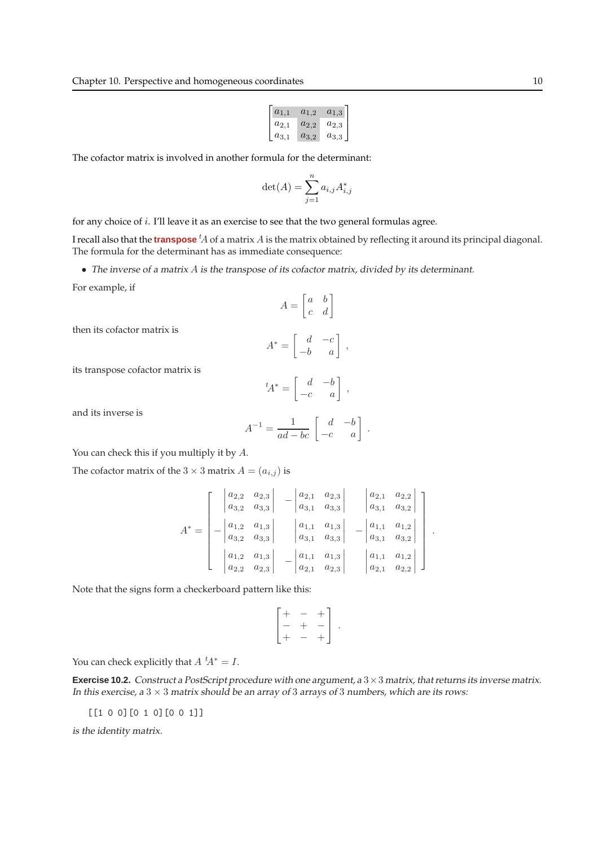| $a_{1,1}$         | $a_{1.2}$ | $a_{1,3}$ |
|-------------------|-----------|-----------|
| $a_{2,1}$         | $a_{2,2}$ | $a_{2,3}$ |
| $\lfloor a_{3,1}$ | $a_{3,2}$ | $a_{3,3}$ |

The cofactor matrix is involved in another formula for the determinant:

$$
\det(A) = \sum_{j=1}^{n} a_{i,j} A_{i,j}^*
$$

for any choice of  $i$ . I'll leave it as an exercise to see that the two general formulas agree.

I recall also that the **transpose**  ${}^tA$  of a matrix  $A$  is the matrix obtained by reflecting it around its principal diagonal. The formula for the determinant has as immediate consequence:

• The inverse of <sup>a</sup> matrix A is the transpose of its cofactor matrix, divided by its determinant.

For example, if

$$
A = \begin{bmatrix} a & b \\ c & d \end{bmatrix}
$$

$$
A^* = \begin{bmatrix} d & -c \\ -b & a \end{bmatrix} ,
$$

its transpose cofactor matrix is

then its cofactor matrix is

$$
{}^{t}A^* = \begin{bmatrix} d & -b \\ -c & a \end{bmatrix},
$$
  

$$
{}^{1} = \frac{1}{\cdots} \begin{bmatrix} d & -d \\ d & -d \end{bmatrix}
$$

.

and its inverse is

$$
A^{-1} = \frac{1}{ad - bc} \begin{bmatrix} d & -b \\ -c & a \end{bmatrix}
$$

You can check this if you multiply it by A.

The cofactor matrix of the  $3 \times 3$  matrix  $A = (a_{i,j})$  is

$$
A^* = \begin{bmatrix} \begin{vmatrix} a_{2,2} & a_{2,3} \\ a_{3,2} & a_{3,3} \end{vmatrix} & -\begin{vmatrix} a_{2,1} & a_{2,3} \\ a_{3,1} & a_{3,3} \end{vmatrix} & \begin{vmatrix} a_{2,1} & a_{2,2} \\ a_{3,1} & a_{3,2} \end{vmatrix} \\ -\begin{vmatrix} a_{1,2} & a_{1,3} \\ a_{3,2} & a_{3,3} \end{vmatrix} & \begin{vmatrix} a_{1,1} & a_{1,3} \\ a_{3,1} & a_{3,3} \end{vmatrix} & -\begin{vmatrix} a_{1,1} & a_{1,2} \\ a_{3,1} & a_{3,2} \end{vmatrix} \\ \begin{vmatrix} a_{1,2} & a_{1,3} \\ a_{2,2} & a_{2,3} \end{vmatrix} & -\begin{vmatrix} a_{1,1} & a_{1,3} \\ a_{2,1} & a_{2,3} \end{vmatrix} & \begin{vmatrix} a_{1,1} & a_{1,2} \\ a_{2,1} & a_{2,2} \end{vmatrix} \end{bmatrix}.
$$

Note that the signs form a checkerboard pattern like this:

$$
\begin{bmatrix} + & - & + \\ - & + & - \\ + & - & + \end{bmatrix}.
$$

You can check explicitly that  $A^tA^* = I$ .

**Exercise 10.2.** Construct a PostScript procedure with one argument, a  $3 \times 3$  matrix, that returns its inverse matrix. In this exercise, a  $3 \times 3$  matrix should be an array of  $3$  arrays of  $3$  numbers, which are its rows:

[[1 0 0][0 1 0][0 0 1]]

is the identity matrix.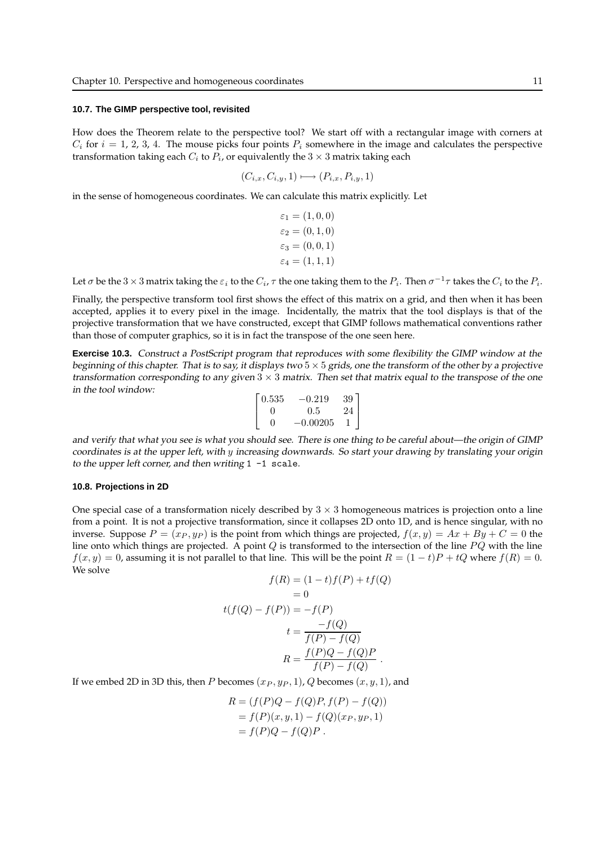#### **10.7. The GIMP perspective tool, revisited**

How does the Theorem relate to the perspective tool? We start off with a rectangular image with corners at  $C_i$  for  $i = 1, 2, 3, 4$ . The mouse picks four points  $P_i$  somewhere in the image and calculates the perspective transformation taking each  $C_i$  to  $P_i$ , or equivalently the  $3 \times 3$  matrix taking each

$$
(C_{i,x}, C_{i,y}, 1) \longmapsto (P_{i,x}, P_{i,y}, 1)
$$

in the sense of homogeneous coordinates. We can calculate this matrix explicitly. Let

 $\varepsilon_1 = (1, 0, 0)$  $\varepsilon_2 = (0, 1, 0)$  $\varepsilon_3 = (0, 0, 1)$  $\varepsilon_4 = (1, 1, 1)$ 

Let  $\sigma$  be the  $3\times 3$  matrix taking the  $\varepsilon_i$  to the  $C_i$ ,  $\tau$  the one taking them to the  $P_i$ . Then  $\sigma^{-1}\tau$  takes the  $C_i$  to the  $P_i$ .

Finally, the perspective transform tool first shows the effect of this matrix on a grid, and then when it has been accepted, applies it to every pixel in the image. Incidentally, the matrix that the tool displays is that of the projective transformation that we have constructed, except that GIMP follows mathematical conventions rather than those of computer graphics, so it is in fact the transpose of the one seen here.

**Exercise 10.3.** Construct a PostScript program that reproduces with some flexibility the GIMP window at the beginning of this chapter. That is to say, it displays two  $5 \times 5$  grids, one the transform of the other by a projective transformation corresponding to any given  $3 \times 3$  matrix. Then set that matrix equal to the transpose of the one in the tool window:

$$
\begin{bmatrix} 0.535 & -0.219 & 39 \\ 0 & 0.5 & 24 \\ 0 & -0.00205 & 1 \end{bmatrix}
$$

and verify that what you see is what you should see. There is one thing to be careful about—the origin of GIMP coordinates is at the upper left, with y increasing downwards. So start your drawing by translating your origin to the upper left corner, and then writing  $1 - 1$  scale.

#### **10.8. Projections in 2D**

One special case of a transformation nicely described by  $3 \times 3$  homogeneous matrices is projection onto a line from a point. It is not a projective transformation, since it collapses 2D onto 1D, and is hence singular, with no inverse. Suppose  $P = (x_P, y_P)$  is the point from which things are projected,  $f(x, y) = Ax + By + C = 0$  the line onto which things are projected. A point  $Q$  is transformed to the intersection of the line  $PQ$  with the line  $f(x, y) = 0$ , assuming it is not parallel to that line. This will be the point  $R = (1 - t)P + tQ$  where  $f(R) = 0$ . We solve

$$
f(R) = (1-t)f(P) + tf(Q)
$$

$$
= 0
$$

$$
t(f(Q) - f(P)) = -f(P)
$$

$$
t = \frac{-f(Q)}{f(P) - f(Q)}
$$

$$
R = \frac{f(P)Q - f(Q)P}{f(P) - f(Q)}.
$$

If we embed 2D in 3D this, then P becomes  $(x_P, y_P, 1)$ , Q becomes  $(x, y, 1)$ , and

$$
R = (f(P)Q - f(Q)P, f(P) - f(Q))
$$
  
= f(P)(x, y, 1) - f(Q)(x<sub>P</sub>, y<sub>P</sub>, 1)  
= f(P)Q - f(Q)P.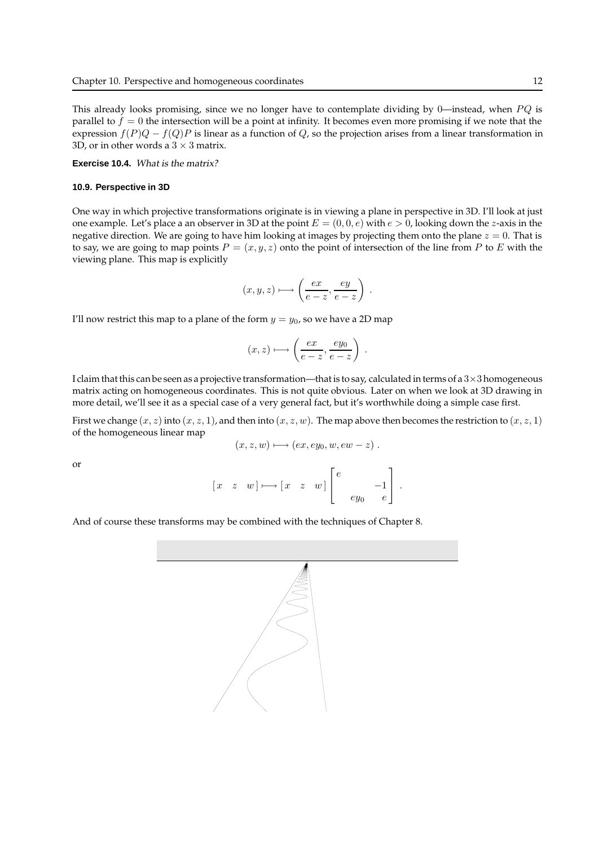This already looks promising, since we no longer have to contemplate dividing by  $0$ —instead, when  $PQ$  is parallel to  $f = 0$  the intersection will be a point at infinity. It becomes even more promising if we note that the expression  $f(P)Q - f(Q)P$  is linear as a function of Q, so the projection arises from a linear transformation in 3D, or in other words a  $3 \times 3$  matrix.

**Exercise 10.4.** What is the matrix?

#### **10.9. Perspective in 3D**

One way in which projective transformations originate is in viewing a plane in perspective in 3D. I'll look at just one example. Let's place a an observer in 3D at the point  $E = (0, 0, e)$  with  $e > 0$ , looking down the z-axis in the negative direction. We are going to have him looking at images by projecting them onto the plane  $z = 0$ . That is to say, we are going to map points  $P = (x, y, z)$  onto the point of intersection of the line from P to E with the viewing plane. This map is explicitly

$$
(x,y,z)\longmapsto \left(\frac{ex}{e-z},\frac{ey}{e-z}\right)\;.
$$

I'll now restrict this map to a plane of the form  $y = y_0$ , so we have a 2D map

$$
(x,z)\longmapsto \left(\frac{ex}{e-z},\frac{ey_0}{e-z}\right) .
$$

I claim that this can be seen as a projective transformation—that is to say, calculated in terms of a  $3\times3$  homogeneous matrix acting on homogeneous coordinates. This is not quite obvious. Later on when we look at 3D drawing in more detail, we'll see it as a special case of a very general fact, but it's worthwhile doing a simple case first.

First we change  $(x, z)$  into  $(x, z, 1)$ , and then into  $(x, z, w)$ . The map above then becomes the restriction to  $(x, z, 1)$ of the homogeneous linear map

$$
(x, z, w) \longmapsto (ex, ey_0, w, ew - z) .
$$

or

$$
[x \ z \ w] \longmapsto [x \ z \ w] \begin{bmatrix} e \\ e \\ ey_0 \ e \end{bmatrix} .
$$

And of course these transforms may be combined with the techniques of Chapter 8.